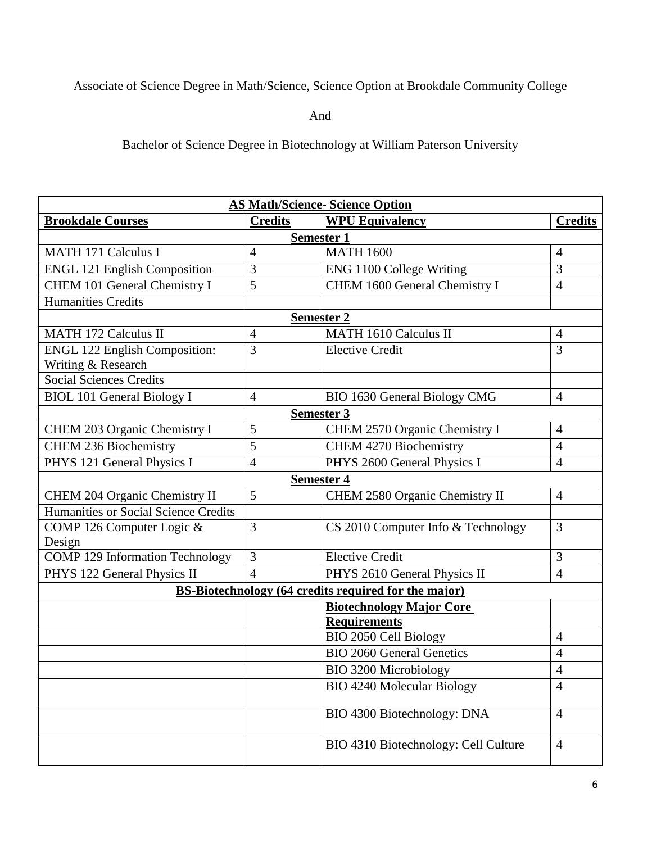## Associate of Science Degree in Math/Science, Science Option at Brookdale Community College

And

Bachelor of Science Degree in Biotechnology at William Paterson University

| <b>AS Math/Science- Science Option</b>                      |                |                                      |                |  |
|-------------------------------------------------------------|----------------|--------------------------------------|----------------|--|
| <b>Brookdale Courses</b>                                    | <b>Credits</b> | <b>WPU Equivalency</b>               | <b>Credits</b> |  |
| <b>Semester 1</b>                                           |                |                                      |                |  |
| <b>MATH 171 Calculus I</b>                                  | 4              | <b>MATH 1600</b>                     | $\overline{4}$ |  |
| <b>ENGL 121 English Composition</b>                         | 3              | ENG 1100 College Writing             | 3              |  |
| CHEM 101 General Chemistry I                                | 5              | CHEM 1600 General Chemistry I        | $\overline{4}$ |  |
| <b>Humanities Credits</b>                                   |                |                                      |                |  |
| <b>Semester 2</b>                                           |                |                                      |                |  |
| <b>MATH 172 Calculus II</b>                                 | 4              | <b>MATH 1610 Calculus II</b>         | $\overline{4}$ |  |
| <b>ENGL 122 English Composition:</b>                        | 3              | <b>Elective Credit</b>               | $\overline{3}$ |  |
| Writing & Research                                          |                |                                      |                |  |
| <b>Social Sciences Credits</b>                              |                |                                      |                |  |
| <b>BIOL 101 General Biology I</b>                           | $\overline{4}$ | BIO 1630 General Biology CMG         | $\overline{4}$ |  |
|                                                             |                | <b>Semester 3</b>                    |                |  |
| CHEM 203 Organic Chemistry I                                | 5              | CHEM 2570 Organic Chemistry I        | $\overline{4}$ |  |
| <b>CHEM 236 Biochemistry</b>                                | 5              | <b>CHEM 4270 Biochemistry</b>        | $\overline{4}$ |  |
| PHYS 121 General Physics I                                  | 4              | PHYS 2600 General Physics I          | $\overline{4}$ |  |
| <b>Semester 4</b>                                           |                |                                      |                |  |
| CHEM 204 Organic Chemistry II                               | 5              | CHEM 2580 Organic Chemistry II       | $\overline{4}$ |  |
| Humanities or Social Science Credits                        |                |                                      |                |  |
| COMP 126 Computer Logic &                                   | 3              | CS 2010 Computer Info & Technology   | $\overline{3}$ |  |
| Design                                                      |                |                                      |                |  |
| <b>COMP 129 Information Technology</b>                      | 3              | <b>Elective Credit</b>               | 3              |  |
| PHYS 122 General Physics II                                 | 4              | PHYS 2610 General Physics II         | $\overline{4}$ |  |
| <b>BS-Biotechnology (64 credits required for the major)</b> |                |                                      |                |  |
|                                                             |                | <b>Biotechnology Major Core</b>      |                |  |
|                                                             |                | <b>Requirements</b>                  |                |  |
|                                                             |                | BIO 2050 Cell Biology                | $\overline{4}$ |  |
|                                                             |                | <b>BIO 2060 General Genetics</b>     | $\overline{4}$ |  |
|                                                             |                | <b>BIO 3200 Microbiology</b>         | $\overline{4}$ |  |
|                                                             |                | <b>BIO 4240 Molecular Biology</b>    | $\overline{4}$ |  |
|                                                             |                | BIO 4300 Biotechnology: DNA          | $\overline{4}$ |  |
|                                                             |                | BIO 4310 Biotechnology: Cell Culture | $\overline{4}$ |  |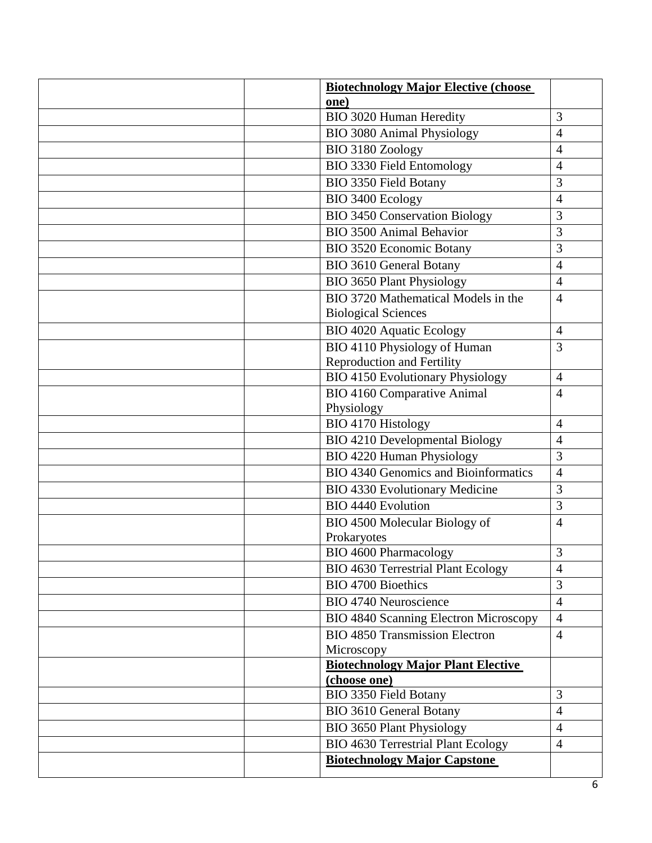| <b>Biotechnology Major Elective (choose)</b> |                |
|----------------------------------------------|----------------|
| one)                                         |                |
| BIO 3020 Human Heredity                      | 3              |
| <b>BIO 3080 Animal Physiology</b>            | 4              |
| BIO 3180 Zoology                             | 4              |
| <b>BIO 3330 Field Entomology</b>             | 4              |
| <b>BIO 3350 Field Botany</b>                 | 3              |
| BIO 3400 Ecology                             | 4              |
| <b>BIO 3450 Conservation Biology</b>         | 3              |
| <b>BIO 3500 Animal Behavior</b>              | 3              |
| <b>BIO 3520 Economic Botany</b>              | 3              |
| <b>BIO 3610 General Botany</b>               | $\overline{4}$ |
| <b>BIO 3650 Plant Physiology</b>             | $\overline{4}$ |
| BIO 3720 Mathematical Models in the          | $\overline{4}$ |
| <b>Biological Sciences</b>                   |                |
| <b>BIO 4020 Aquatic Ecology</b>              | $\overline{4}$ |
| BIO 4110 Physiology of Human                 | 3              |
| Reproduction and Fertility                   |                |
| <b>BIO 4150 Evolutionary Physiology</b>      | $\overline{4}$ |
| <b>BIO 4160 Comparative Animal</b>           | $\overline{4}$ |
| Physiology                                   |                |
| <b>BIO 4170 Histology</b>                    | $\overline{4}$ |
| BIO 4210 Developmental Biology               | 4              |
| <b>BIO 4220 Human Physiology</b>             | 3              |
| <b>BIO 4340 Genomics and Bioinformatics</b>  | 4              |
| <b>BIO 4330 Evolutionary Medicine</b>        | 3              |
| <b>BIO 4440 Evolution</b>                    | 3              |
| BIO 4500 Molecular Biology of                | $\overline{4}$ |
| Prokaryotes                                  |                |
| <b>BIO 4600 Pharmacology</b>                 | $\overline{3}$ |
| <b>BIO 4630 Terrestrial Plant Ecology</b>    | $\overline{4}$ |
| <b>BIO 4700 Bioethics</b>                    | 3              |
| <b>BIO 4740 Neuroscience</b>                 | $\overline{4}$ |
| <b>BIO 4840 Scanning Electron Microscopy</b> | $\overline{4}$ |
| <b>BIO 4850 Transmission Electron</b>        | $\overline{4}$ |
| Microscopy                                   |                |
| <b>Biotechnology Major Plant Elective</b>    |                |
| (choose one)                                 |                |
| BIO 3350 Field Botany                        | 3              |
| <b>BIO 3610 General Botany</b>               | $\overline{4}$ |
| <b>BIO 3650 Plant Physiology</b>             | $\overline{4}$ |
| <b>BIO 4630 Terrestrial Plant Ecology</b>    | $\overline{4}$ |
| <b>Biotechnology Major Capstone</b>          |                |